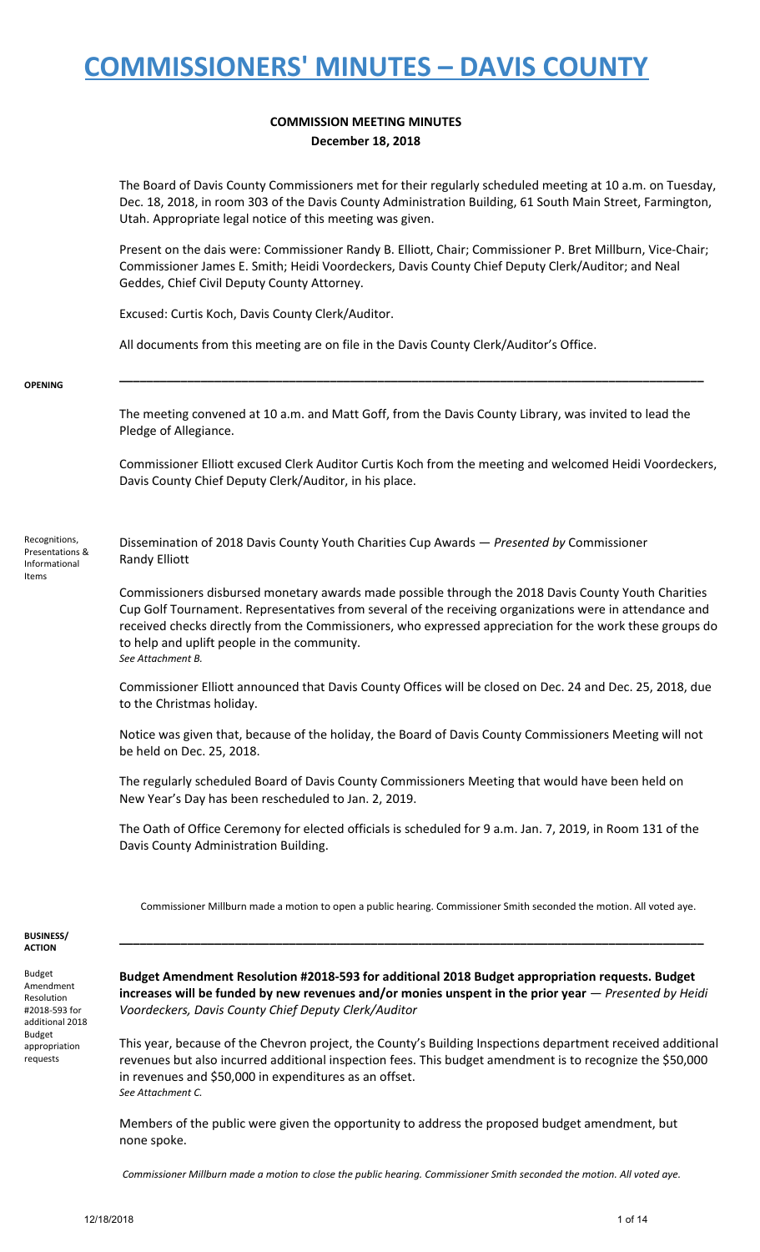### **COMMISSION MEETING MINUTES December 18, 2018**

The Board of Davis County Commissioners met for their regularly scheduled meeting at 10 a.m. on Tuesday, Dec. 18, 2018, in room 303 of the Davis County Administration Building, 61 South Main Street, Farmington, Utah. Appropriate legal notice of this meeting was given.

Present on the dais were: Commissioner Randy B. Elliott, Chair; Commissioner P. Bret Millburn, Vice-Chair; Commissioner James E. Smith; Heidi Voordeckers, Davis County Chief Deputy Clerk/Auditor; and Neal Geddes, Chief Civil Deputy County Attorney.

Excused: Curtis Koch, Davis County Clerk/Auditor.

All documents from this meeting are on file in the Davis County Clerk/Auditor's Office.

#### **OPENING**

The meeting convened at 10 a.m. and Matt Goff, from the Davis County Library, was invited to lead the Pledge of Allegiance.

**\_\_\_\_\_\_\_\_\_\_\_\_\_\_\_\_\_\_\_\_\_\_\_\_\_\_\_\_\_\_\_\_\_\_\_\_\_\_\_\_\_\_\_\_\_\_\_\_\_\_\_\_\_\_\_\_\_\_\_\_\_\_\_\_\_\_\_\_\_\_\_\_\_\_\_\_\_\_\_\_\_\_\_\_\_\_**

Commissioner Elliott excused Clerk Auditor Curtis Koch from the meeting and welcomed Heidi Voordeckers, Davis County Chief Deputy Clerk/Auditor, in his place.

Recognitions, Presentations & Informational Items

Dissemination of 2018 Davis County Youth Charities Cup Awards — *Presented by* Commissioner Randy Elliott

Commissioners disbursed monetary awards made possible through the 2018 Davis County Youth Charities Cup Golf Tournament. Representatives from several of the receiving organizations were in attendance and received checks directly from the Commissioners, who expressed appreciation for the work these groups do to help and uplift people in the community. *See Attachment B.*

Commissioner Elliott announced that Davis County Offices will be closed on Dec. 24 and Dec. 25, 2018, due to the Christmas holiday.

Notice was given that, because of the holiday, the Board of Davis County Commissioners Meeting will not be held on Dec. 25, 2018.

The regularly scheduled Board of Davis County Commissioners Meeting that would have been held on New Year's Day has been rescheduled to Jan. 2, 2019.

The Oath of Office Ceremony for elected officials is scheduled for 9 a.m. Jan. 7, 2019, in Room 131 of the Davis County Administration Building.

Commissioner Millburn made a motion to open a public hearing. Commissioner Smith seconded the motion. All voted aye.

**\_\_\_\_\_\_\_\_\_\_\_\_\_\_\_\_\_\_\_\_\_\_\_\_\_\_\_\_\_\_\_\_\_\_\_\_\_\_\_\_\_\_\_\_\_\_\_\_\_\_\_\_\_\_\_\_\_\_\_\_\_\_\_\_\_\_\_\_\_\_\_\_\_\_\_\_\_\_\_\_\_\_\_\_\_\_**

#### **BUSINESS/ ACTION**

Budget Amendment Resolution #2018-593 for additional 2018 Budget appropriation requests

**Budget Amendment Resolution #2018-593 for additional 2018 Budget appropriation requests. Budget** increases will be funded by new revenues and/or monies unspent in the prior year  $-$  Presented by Heidi *Voordeckers, Davis County Chief Deputy Clerk/Auditor*

This year, because of the Chevron project, the County's Building Inspections department received additional revenues but also incurred additional inspection fees. This budget amendment is to recognize the \$50,000 in revenues and \$50,000 in expenditures as an offset. *See Attachment C.*

Members of the public were given the opportunity to address the proposed budget amendment, but none spoke.

*Commissioner Millburn made a motion to close the public hearing. Commissioner Smith seconded the motion. All voted aye.*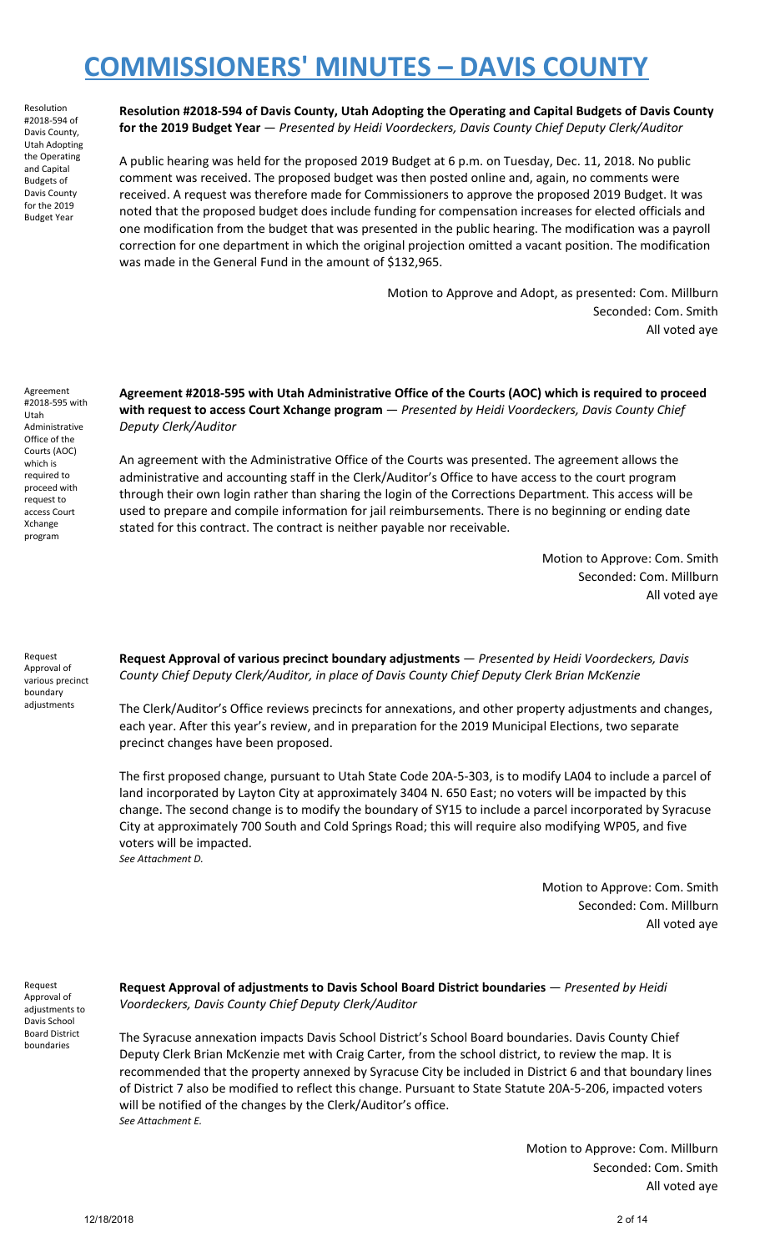Resolution #2018-594 of Davis County, Utah Adopting the Operating and Capital Budgets of Davis County for the 2019 Budget Year

**Resolution #2018-594 of Davis County, Utah Adopting the Operating and Capital Budgets of Davis County for the 2019 Budget Year** — *Presented by Heidi Voordeckers, Davis County Chief Deputy Clerk/Auditor*

A public hearing was held for the proposed 2019 Budget at 6 p.m. on Tuesday, Dec. 11, 2018. No public comment was received. The proposed budget was then posted online and, again, no comments were received. A request was therefore made for Commissioners to approve the proposed 2019 Budget. It was noted that the proposed budget does include funding for compensation increases for elected officials and one modification from the budget that was presented in the public hearing. The modification was a payroll correction for one department in which the original projection omitted a vacant position. The modification was made in the General Fund in the amount of \$132,965.

> Motion to Approve and Adopt, as presented: Com. Millburn Seconded: Com. Smith All voted aye

Agreement #2018-595 with Utah Administrative Office of the Courts (AOC) which is required to proceed with request to access Court Xchange program

**Agreement #2018-595 with Utah Administrative Office of the Courts (AOC) which is required to proceed with request to access Court Xchange program** — *Presented by Heidi Voordeckers, Davis County Chief Deputy Clerk/Auditor*

An agreement with the Administrative Office of the Courts was presented. The agreement allows the administrative and accounting staff in the Clerk/Auditor's Office to have access to the court program through their own login rather than sharing the login of the Corrections Department. This access will be used to prepare and compile information for jail reimbursements. There is no beginning or ending date stated for this contract. The contract is neither payable nor receivable.

> Motion to Approve: Com. Smith Seconded: Com. Millburn All voted aye

Request Approval of various precinct boundary adjustments

**Request Approval of various precinct boundary adjustments** — *Presented by Heidi Voordeckers, Davis County Chief Deputy Clerk/Auditor, in place of Davis County Chief Deputy Clerk Brian McKenzie*

The Clerk/Auditor's Office reviews precincts for annexations, and other property adjustments and changes, each year. After this year's review, and in preparation for the 2019 Municipal Elections, two separate precinct changes have been proposed.

The first proposed change, pursuant to Utah State Code 20A-5-303, is to modify LA04 to include a parcel of land incorporated by Layton City at approximately 3404 N. 650 East; no voters will be impacted by this change. The second change is to modify the boundary of SY15 to include a parcel incorporated by Syracuse City at approximately 700 South and Cold Springs Road; this will require also modifying WP05, and five voters will be impacted. *See Attachment D.*

> Motion to Approve: Com. Smith Seconded: Com. Millburn All voted aye

Request Approval of adjustments to Davis School Board District boundaries

**Request Approval of adjustments to Davis School Board District boundaries** — *Presented by Heidi Voordeckers, Davis County Chief Deputy Clerk/Auditor*

The Syracuse annexation impacts Davis School District's School Board boundaries. Davis County Chief Deputy Clerk Brian McKenzie met with Craig Carter, from the school district, to review the map. It is recommended that the property annexed by Syracuse City be included in District 6 and that boundary lines of District 7 also be modified to reflect this change. Pursuant to State Statute 20A-5-206, impacted voters will be notified of the changes by the Clerk/Auditor's office. *See Attachment E.*

> Motion to Approve: Com. Millburn Seconded: Com. Smith All voted aye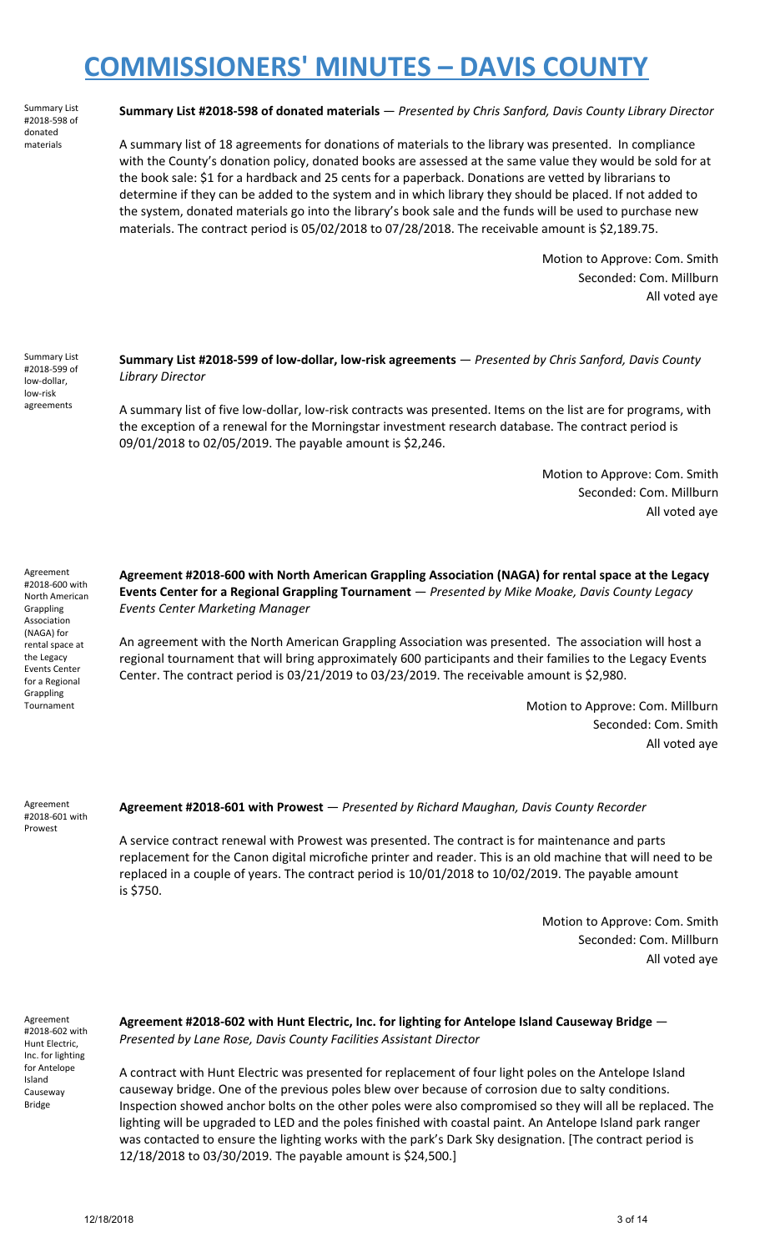Summary List #2018-598 of donated materials

#### **Summary List #2018-598 of donated materials** — *Presented by Chris Sanford, Davis County Library Director*

A summary list of 18 agreements for donations of materials to the library was presented. In compliance with the County's donation policy, donated books are assessed at the same value they would be sold for at the book sale: \$1 for a hardback and 25 cents for a paperback. Donations are vetted by librarians to determine if they can be added to the system and in which library they should be placed. If not added to the system, donated materials go into the library's book sale and the funds will be used to purchase new materials. The contract period is 05/02/2018 to 07/28/2018. The receivable amount is \$2,189.75.

> Motion to Approve: Com. Smith Seconded: Com. Millburn All voted aye

Summary List #2018-599 of low-dollar, low-risk agreements

**Summary List #2018-599 of low-dollar, low-risk agreements** — *Presented by Chris Sanford, Davis County Library Director*

A summary list of five low-dollar, low-risk contracts was presented. Items on the list are for programs, with the exception of a renewal for the Morningstar investment research database. The contract period is 09/01/2018 to 02/05/2019. The payable amount is \$2,246.

> Motion to Approve: Com. Smith Seconded: Com. Millburn All voted aye

Agreement #2018-600 with North American Grappling Association (NAGA) for rental space at the Legacy Events Center for a Regional Grappling Tournament

**Agreement #2018-600 with North American Grappling Association (NAGA) for rental space at the Legacy Events Center for a Regional Grappling Tournament** — *Presented by Mike Moake, Davis County Legacy Events Center Marketing Manager*

An agreement with the North American Grappling Association was presented. The association will host a regional tournament that will bring approximately 600 participants and their families to the Legacy Events Center. The contract period is 03/21/2019 to 03/23/2019. The receivable amount is \$2,980.

> Motion to Approve: Com. Millburn Seconded: Com. Smith All voted aye

Agreement #2018-601 with Prowest

**Agreement #2018-601 with Prowest** — *Presented by Richard Maughan, Davis County Recorder*

A service contract renewal with Prowest was presented. The contract is for maintenance and parts replacement for the Canon digital microfiche printer and reader. This is an old machine that will need to be replaced in a couple of years. The contract period is 10/01/2018 to 10/02/2019. The payable amount is \$750.

> Motion to Approve: Com. Smith Seconded: Com. Millburn All voted aye

Agreement #2018-602 with Hunt Electric, Inc. for lighting for Antelope Island Causeway Bridge

**Agreement #2018-602 with Hunt Electric, Inc. for lighting for Antelope Island Causeway Bridge** — *Presented by Lane Rose, Davis County Facilities Assistant Director*

A contract with Hunt Electric was presented for replacement of four light poles on the Antelope Island causeway bridge. One of the previous poles blew over because of corrosion due to salty conditions. Inspection showed anchor bolts on the other poles were also compromised so they will all be replaced. The lighting will be upgraded to LED and the poles finished with coastal paint. An Antelope Island park ranger was contacted to ensure the lighting works with the park's Dark Sky designation. [The contract period is 12/18/2018 to 03/30/2019. The payable amount is \$24,500.]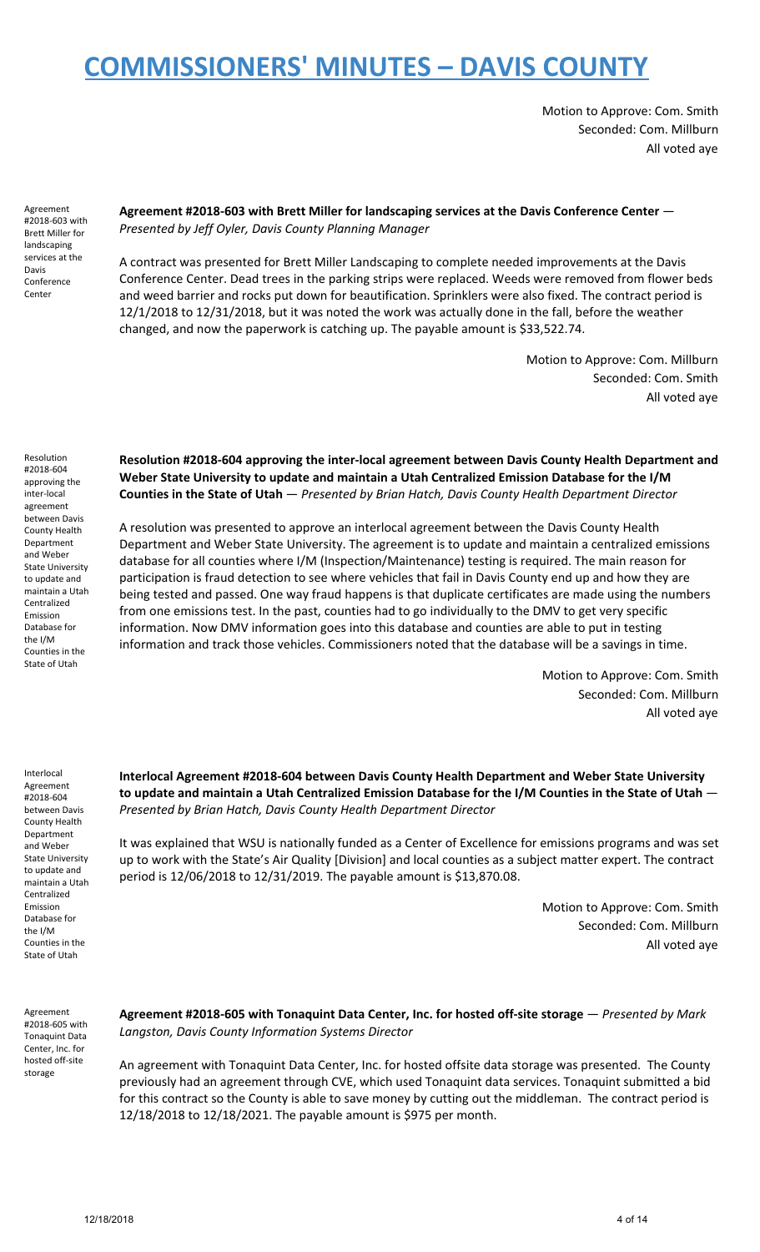Motion to Approve: Com. Smith Seconded: Com. Millburn All voted aye

Agreement #2018-603 with Brett Miller for landscaping services at the Davis Conference Center

**Agreement #2018-603 with Brett Miller for landscaping services at the Davis Conference Center** — *Presented by Jeff Oyler, Davis County Planning Manager*

A contract was presented for Brett Miller Landscaping to complete needed improvements at the Davis Conference Center. Dead trees in the parking strips were replaced. Weeds were removed from flower beds and weed barrier and rocks put down for beautification. Sprinklers were also fixed. The contract period is 12/1/2018 to 12/31/2018, but it was noted the work was actually done in the fall, before the weather changed, and now the paperwork is catching up. The payable amount is \$33,522.74.

> Motion to Approve: Com. Millburn Seconded: Com. Smith All voted aye

Resolution #2018-604 approving the inter-local agreement between Davis County Health Department and Weber State University to update and maintain a Utah Centralized Emission Database for the I/M Counties in the State of Utah

**Resolution #2018-604 approving the inter-local agreement between Davis County Health Department and Weber State University to update and maintain a Utah Centralized Emission Database for the I/M Counties in the State of Utah** — *Presented by Brian Hatch, Davis County Health Department Director*

A resolution was presented to approve an interlocal agreement between the Davis County Health Department and Weber State University. The agreement is to update and maintain a centralized emissions database for all counties where I/M (Inspection/Maintenance) testing is required. The main reason for participation is fraud detection to see where vehicles that fail in Davis County end up and how they are being tested and passed. One way fraud happens is that duplicate certificates are made using the numbers from one emissions test. In the past, counties had to go individually to the DMV to get very specific information. Now DMV information goes into this database and counties are able to put in testing information and track those vehicles. Commissioners noted that the database will be a savings in time.

> Motion to Approve: Com. Smith Seconded: Com. Millburn All voted aye

Interlocal Agreement #2018-604 between Davis County Health Department and Weber State University to update and maintain a Utah Centralized Emission Database for the I/M Counties in the State of Utah

**Interlocal Agreement #2018-604 between Davis County Health Department and Weber State University** to update and maintain a Utah Centralized Emission Database for the I/M Counties in the State of Utah  $-$ *Presented by Brian Hatch, Davis County Health Department Director*

It was explained that WSU is nationally funded as a Center of Excellence for emissions programs and was set up to work with the State's Air Quality [Division] and local counties as a subject matter expert. The contract period is 12/06/2018 to 12/31/2019. The payable amount is \$13,870.08.

> Motion to Approve: Com. Smith Seconded: Com. Millburn All voted aye

Agreement #2018-605 with Tonaquint Data Center, Inc. for hosted off-site storage

**Agreement #2018-605 with Tonaquint Data Center, Inc. for hosted off-site storage** — *Presented by Mark Langston, Davis County Information Systems Director*

An agreement with Tonaquint Data Center, Inc. for hosted offsite data storage was presented. The County previously had an agreement through CVE, which used Tonaquint data services. Tonaquint submitted a bid for this contract so the County is able to save money by cutting out the middleman. The contract period is 12/18/2018 to 12/18/2021. The payable amount is \$975 per month.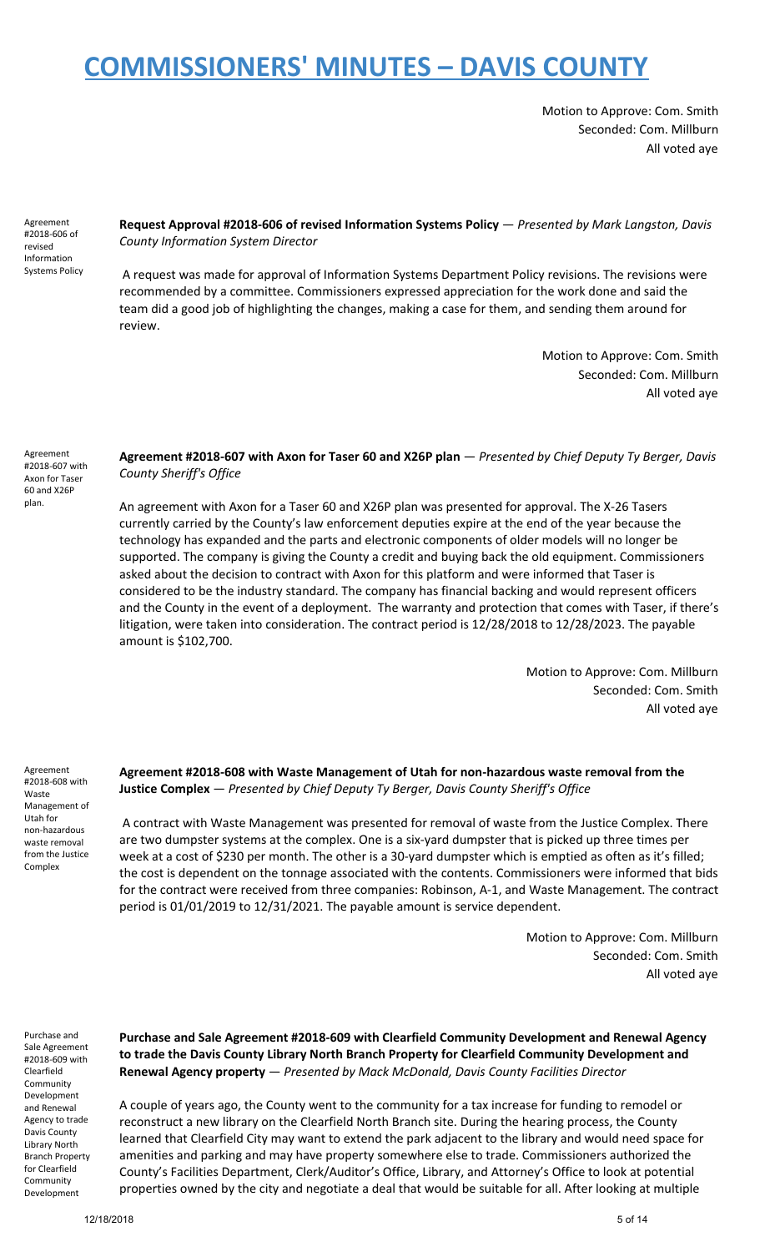Motion to Approve: Com. Smith Seconded: Com. Millburn All voted aye

Agreement #2018-606 of revised Information Systems Policy **Request Approval #2018-606 of revised Information Systems Policy** — *Presented by Mark Langston, Davis County Information System Director*

A request was made for approval of Information Systems Department Policy revisions. The revisions were recommended by a committee. Commissioners expressed appreciation for the work done and said the team did a good job of highlighting the changes, making a case for them, and sending them around for review.

> Motion to Approve: Com. Smith Seconded: Com. Millburn All voted aye

Agreement #2018-607 with Axon for Taser 60 and X26P plan.

**Agreement #2018-607 with Axon for Taser 60 and X26P plan** — *Presented by Chief Deputy Ty Berger, Davis County Sheriff's Office*

An agreement with Axon for a Taser 60 and X26P plan was presented for approval. The X-26 Tasers currently carried by the County's law enforcement deputies expire at the end of the year because the technology has expanded and the parts and electronic components of older models will no longer be supported. The company is giving the County a credit and buying back the old equipment. Commissioners asked about the decision to contract with Axon for this platform and were informed that Taser is considered to be the industry standard. The company has financial backing and would represent officers and the County in the event of a deployment. The warranty and protection that comes with Taser, if there's litigation, were taken into consideration. The contract period is 12/28/2018 to 12/28/2023. The payable amount is \$102,700.

> Motion to Approve: Com. Millburn Seconded: Com. Smith All voted aye

Agreement #2018-608 with Waste Management of Utah for non-hazardous waste removal from the Justice Complex

**Agreement #2018-608 with Waste Management of Utah for non-hazardous waste removal from the Justice Complex** — *Presented by Chief Deputy Ty Berger, Davis County Sheriff's Office*

A contract with Waste Management was presented for removal of waste from the Justice Complex. There are two dumpster systems at the complex. One is a six-yard dumpster that is picked up three times per week at a cost of \$230 per month. The other is a 30-yard dumpster which is emptied as often as it's filled; the cost is dependent on the tonnage associated with the contents. Commissioners were informed that bids for the contract were received from three companies: Robinson, A-1, and Waste Management. The contract period is 01/01/2019 to 12/31/2021. The payable amount is service dependent.

> Motion to Approve: Com. Millburn Seconded: Com. Smith All voted aye

Purchase and Sale Agreement #2018-609 with Clearfield Community Development and Renewal Agency to trade Davis County Library North Branch Property for Clearfield **Community** Development

**Purchase and Sale Agreement #2018-609 with Clearfield Community Development and Renewal Agency to trade the Davis County Library North Branch Property for Clearfield Community Development and Renewal Agency property** — *Presented by Mack McDonald, Davis County Facilities Director*

A couple of years ago, the County went to the community for a tax increase for funding to remodel or reconstruct a new library on the Clearfield North Branch site. During the hearing process, the County learned that Clearfield City may want to extend the park adjacent to the library and would need space for amenities and parking and may have property somewhere else to trade. Commissioners authorized the County's Facilities Department, Clerk/Auditor's Office, Library, and Attorney's Office to look at potential properties owned by the city and negotiate a deal that would be suitable for all. After looking at multiple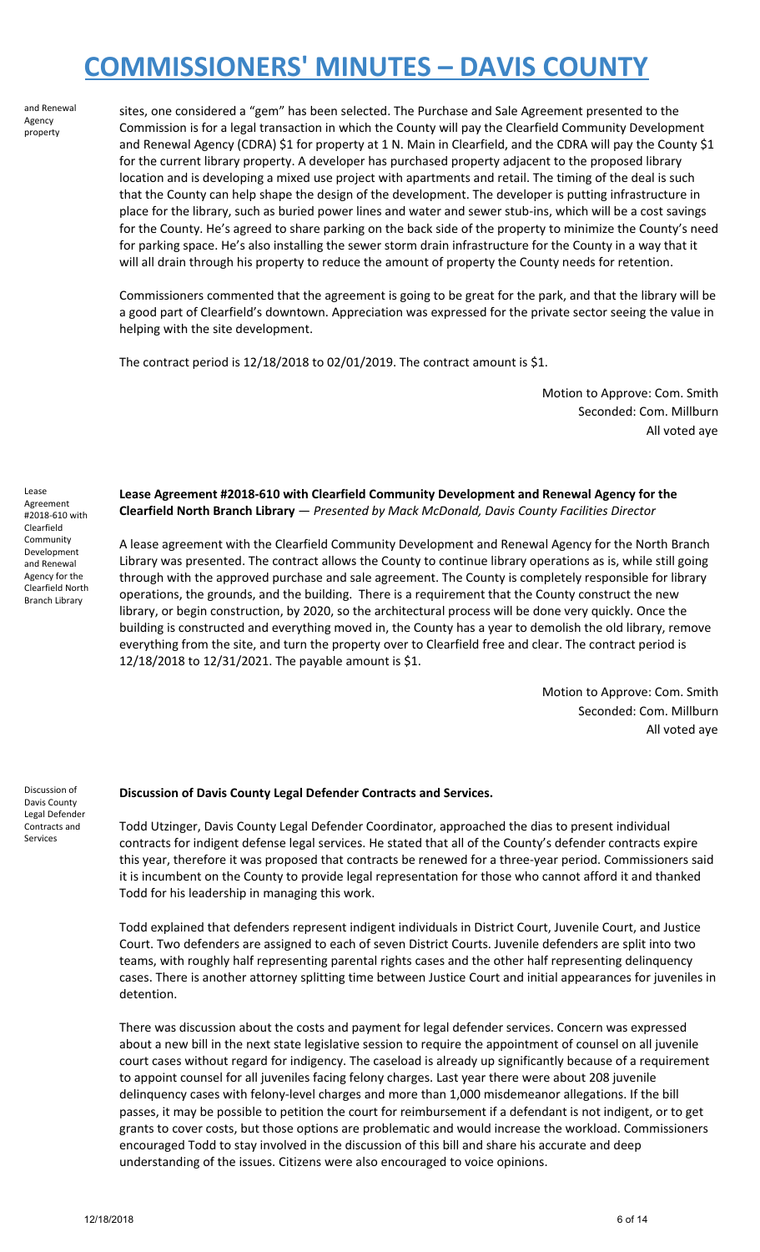and Renewal Agency property

sites, one considered a "gem" has been selected. The Purchase and Sale Agreement presented to the Commission is for a legal transaction in which the County will pay the Clearfield Community Development and Renewal Agency (CDRA) \$1 for property at 1 N. Main in Clearfield, and the CDRA will pay the County \$1 for the current library property. A developer has purchased property adjacent to the proposed library location and is developing a mixed use project with apartments and retail. The timing of the deal is such that the County can help shape the design of the development. The developer is putting infrastructure in place for the library, such as buried power lines and water and sewer stub-ins, which will be a cost savings for the County. He's agreed to share parking on the back side of the property to minimize the County's need for parking space. He's also installing the sewer storm drain infrastructure for the County in a way that it will all drain through his property to reduce the amount of property the County needs for retention.

Commissioners commented that the agreement is going to be great for the park, and that the library will be a good part of Clearfield's downtown. Appreciation was expressed for the private sector seeing the value in helping with the site development.

The contract period is 12/18/2018 to 02/01/2019. The contract amount is \$1.

Motion to Approve: Com. Smith Seconded: Com. Millburn All voted aye

Lease Agreement #2018-610 with Clearfield Community Development and Renewal Agency for the Clearfield North Branch Library

**Lease Agreement #2018-610 with Clearfield Community Development and Renewal Agency for the Clearfield North Branch Library** — *Presented by Mack McDonald, Davis County Facilities Director*

A lease agreement with the Clearfield Community Development and Renewal Agency for the North Branch Library was presented. The contract allows the County to continue library operations as is, while still going through with the approved purchase and sale agreement. The County is completely responsible for library operations, the grounds, and the building. There is a requirement that the County construct the new library, or begin construction, by 2020, so the architectural process will be done very quickly. Once the building is constructed and everything moved in, the County has a year to demolish the old library, remove everything from the site, and turn the property over to Clearfield free and clear. The contract period is 12/18/2018 to 12/31/2021. The payable amount is \$1.

> Motion to Approve: Com. Smith Seconded: Com. Millburn All voted aye

Discussion of Davis County Legal Defender Contracts and Services

### **Discussion of Davis County Legal Defender Contracts and Services.**

Todd Utzinger, Davis County Legal Defender Coordinator, approached the dias to present individual contracts for indigent defense legal services. He stated that all of the County's defender contracts expire this year, therefore it was proposed that contracts be renewed for a three-year period. Commissioners said it is incumbent on the County to provide legal representation for those who cannot afford it and thanked Todd for his leadership in managing this work.

Todd explained that defenders represent indigent individuals in District Court, Juvenile Court, and Justice Court. Two defenders are assigned to each of seven District Courts. Juvenile defenders are split into two teams, with roughly half representing parental rights cases and the other half representing delinquency cases. There is another attorney splitting time between Justice Court and initial appearances for juveniles in detention.

There was discussion about the costs and payment for legal defender services. Concern was expressed about a new bill in the next state legislative session to require the appointment of counsel on all juvenile court cases without regard for indigency. The caseload is already up significantly because of a requirement to appoint counsel for all juveniles facing felony charges. Last year there were about 208 juvenile delinquency cases with felony-level charges and more than 1,000 misdemeanor allegations. If the bill passes, it may be possible to petition the court for reimbursement if a defendant is not indigent, or to get grants to cover costs, but those options are problematic and would increase the workload. Commissioners encouraged Todd to stay involved in the discussion of this bill and share his accurate and deep understanding of the issues. Citizens were also encouraged to voice opinions.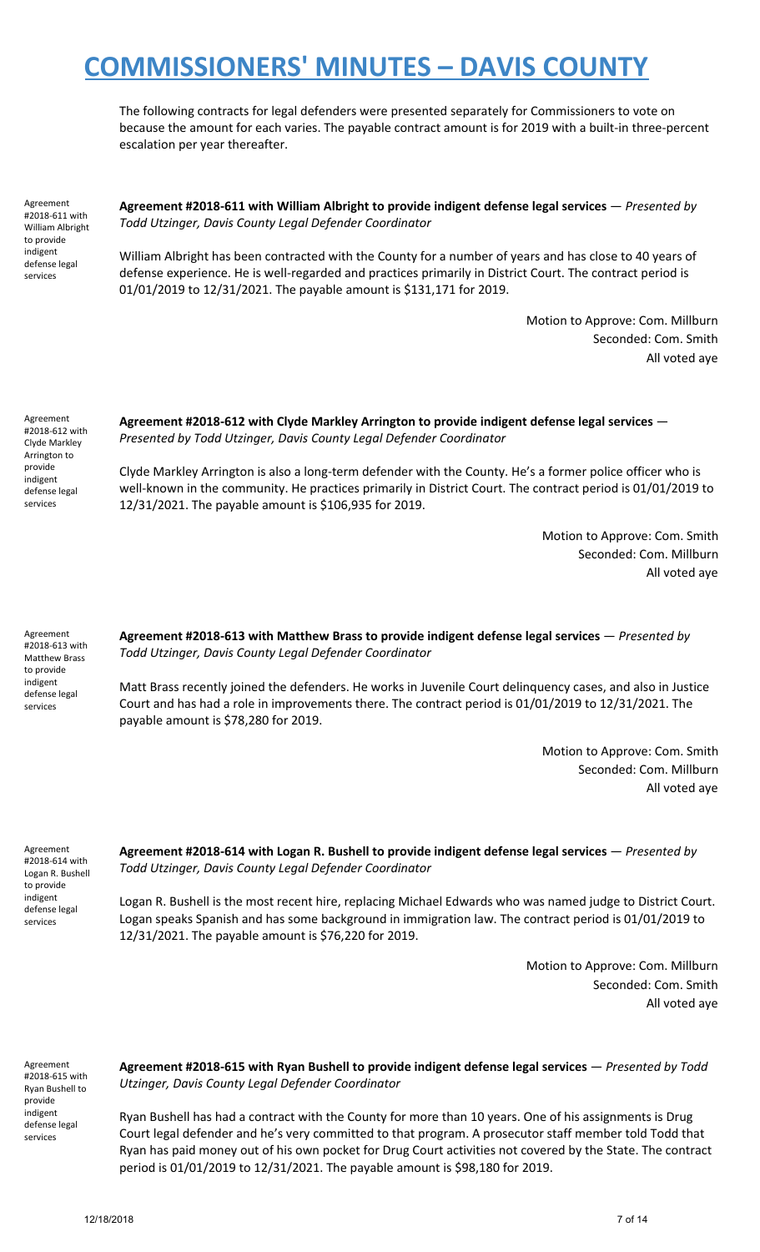The following contracts for legal defenders were presented separately for Commissioners to vote on because the amount for each varies. The payable contract amount is for 2019 with a built-in three-percent escalation per year thereafter.

Agreement #2018-611 with William Albright to provide indigent defense legal services

**Agreement #2018-611 with William Albright to provide indigent defense legal services** — *Presented by Todd Utzinger, Davis County Legal Defender Coordinator*

William Albright has been contracted with the County for a number of years and has close to 40 years of defense experience. He is well-regarded and practices primarily in District Court. The contract period is 01/01/2019 to 12/31/2021. The payable amount is \$131,171 for 2019.

> Motion to Approve: Com. Millburn Seconded: Com. Smith All voted aye

Agreement #2018-612 with Clyde Markley Arrington to provide indigent defense legal services

**Agreement #2018-612 with Clyde Markley Arrington to provide indigent defense legal services** — *Presented by Todd Utzinger, Davis County Legal Defender Coordinator*

Clyde Markley Arrington is also a long-term defender with the County. He's a former police officer who is well-known in the community. He practices primarily in District Court. The contract period is 01/01/2019 to 12/31/2021. The payable amount is \$106,935 for 2019.

> Motion to Approve: Com. Smith Seconded: Com. Millburn All voted aye

Agreement #2018-613 with Matthew Brass to provide indigent defense legal services

**Agreement #2018-613 with Matthew Brass to provide indigent defense legal services** — *Presented by Todd Utzinger, Davis County Legal Defender Coordinator*

Matt Brass recently joined the defenders. He works in Juvenile Court delinquency cases, and also in Justice Court and has had a role in improvements there. The contract period is 01/01/2019 to 12/31/2021. The payable amount is \$78,280 for 2019.

> Motion to Approve: Com. Smith Seconded: Com. Millburn All voted aye

Agreement #2018-614 with Logan R. Bushell to provide indigent defense legal services

**Agreement #2018-614 with Logan R. Bushell to provide indigent defense legal services** — *Presented by Todd Utzinger, Davis County Legal Defender Coordinator*

Logan R. Bushell is the most recent hire, replacing Michael Edwards who was named judge to District Court. Logan speaks Spanish and has some background in immigration law. The contract period is 01/01/2019 to 12/31/2021. The payable amount is \$76,220 for 2019.

> Motion to Approve: Com. Millburn Seconded: Com. Smith All voted aye

Agreement #2018-615 with Ryan Bushell to provide indigent defense legal services

**Agreement #2018-615 with Ryan Bushell to provide indigent defense legal services** — *Presented by Todd Utzinger, Davis County Legal Defender Coordinator*

Ryan Bushell has had a contract with the County for more than 10 years. One of his assignments is Drug Court legal defender and he's very committed to that program. A prosecutor staff member told Todd that Ryan has paid money out of his own pocket for Drug Court activities not covered by the State. The contract period is 01/01/2019 to 12/31/2021. The payable amount is \$98,180 for 2019.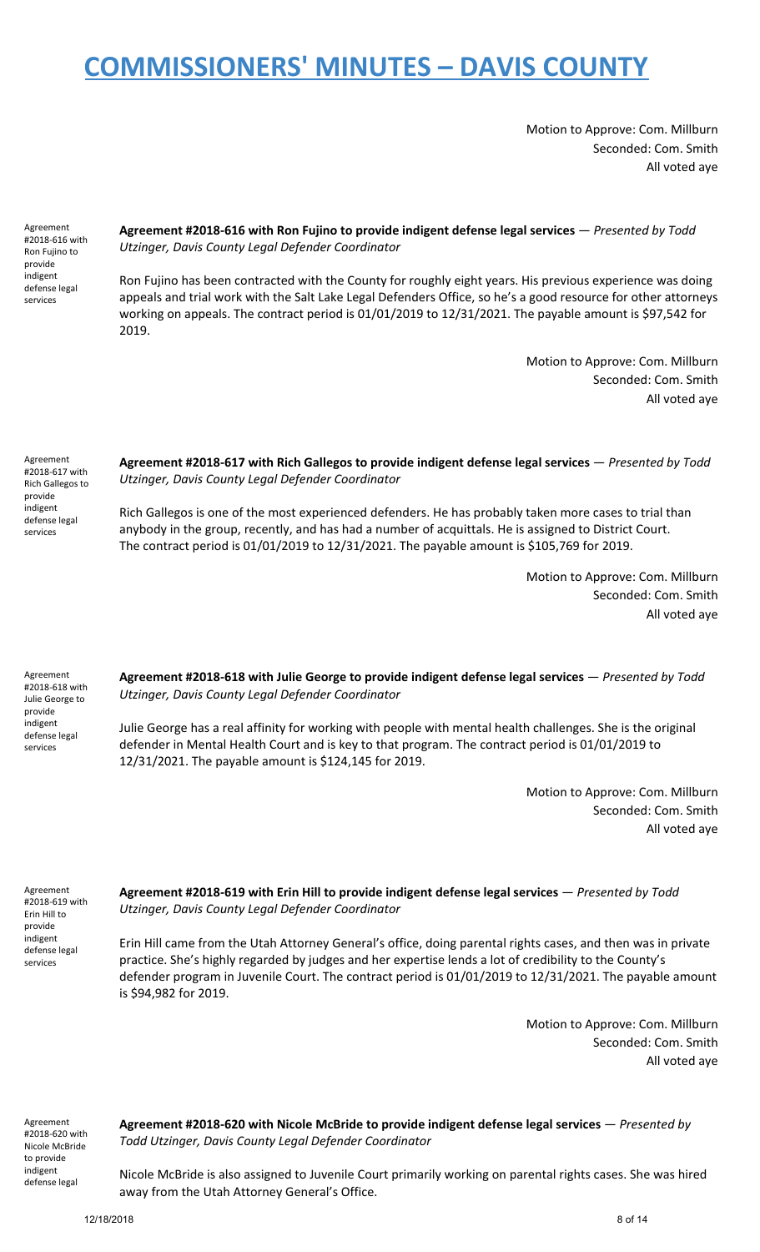Motion to Approve: Com. Millburn Seconded: Com. Smith All voted aye

Agreement #2018-616 with Ron Fujino to provide indigent defense legal services

**Agreement #2018-616 with Ron Fujino to provide indigent defense legal services** — *Presented by Todd Utzinger, Davis County Legal Defender Coordinator*

Ron Fujino has been contracted with the County for roughly eight years. His previous experience was doing appeals and trial work with the Salt Lake Legal Defenders Office, so he's a good resource for other attorneys working on appeals. The contract period is 01/01/2019 to 12/31/2021. The payable amount is \$97,542 for 2019.

> Motion to Approve: Com. Millburn Seconded: Com. Smith All voted aye

Agreement #2018-617 with Rich Gallegos to provide indigent defense legal services

**Agreement #2018-617 with Rich Gallegos to provide indigent defense legal services** — *Presented by Todd Utzinger, Davis County Legal Defender Coordinator*

Rich Gallegos is one of the most experienced defenders. He has probably taken more cases to trial than anybody in the group, recently, and has had a number of acquittals. He is assigned to District Court. The contract period is 01/01/2019 to 12/31/2021. The payable amount is \$105,769 for 2019.

> Motion to Approve: Com. Millburn Seconded: Com. Smith All voted aye

Agreement #2018-618 with Julie George to provide indigent defense legal services

**Agreement #2018-618 with Julie George to provide indigent defense legal services** — *Presented by Todd Utzinger, Davis County Legal Defender Coordinator*

Julie George has a real affinity for working with people with mental health challenges. She is the original defender in Mental Health Court and is key to that program. The contract period is 01/01/2019 to 12/31/2021. The payable amount is \$124,145 for 2019.

> Motion to Approve: Com. Millburn Seconded: Com. Smith All voted aye

Agreement #2018-619 with Erin Hill to provide indigent defense legal services

**Agreement #2018-619 with Erin Hill to provide indigent defense legal services** — *Presented by Todd Utzinger, Davis County Legal Defender Coordinator*

Erin Hill came from the Utah Attorney General's office, doing parental rights cases, and then was in private practice. She's highly regarded by judges and her expertise lends a lot of credibility to the County's defender program in Juvenile Court. The contract period is 01/01/2019 to 12/31/2021. The payable amount is \$94,982 for 2019.

> Motion to Approve: Com. Millburn Seconded: Com. Smith All voted aye

Agreement #2018-620 with Nicole McBride to provide indigent defense legal

**Agreement #2018-620 with Nicole McBride to provide indigent defense legal services** — *Presented by Todd Utzinger, Davis County Legal Defender Coordinator*

Nicole McBride is also assigned to Juvenile Court primarily working on parental rights cases. She was hired away from the Utah Attorney General's Office.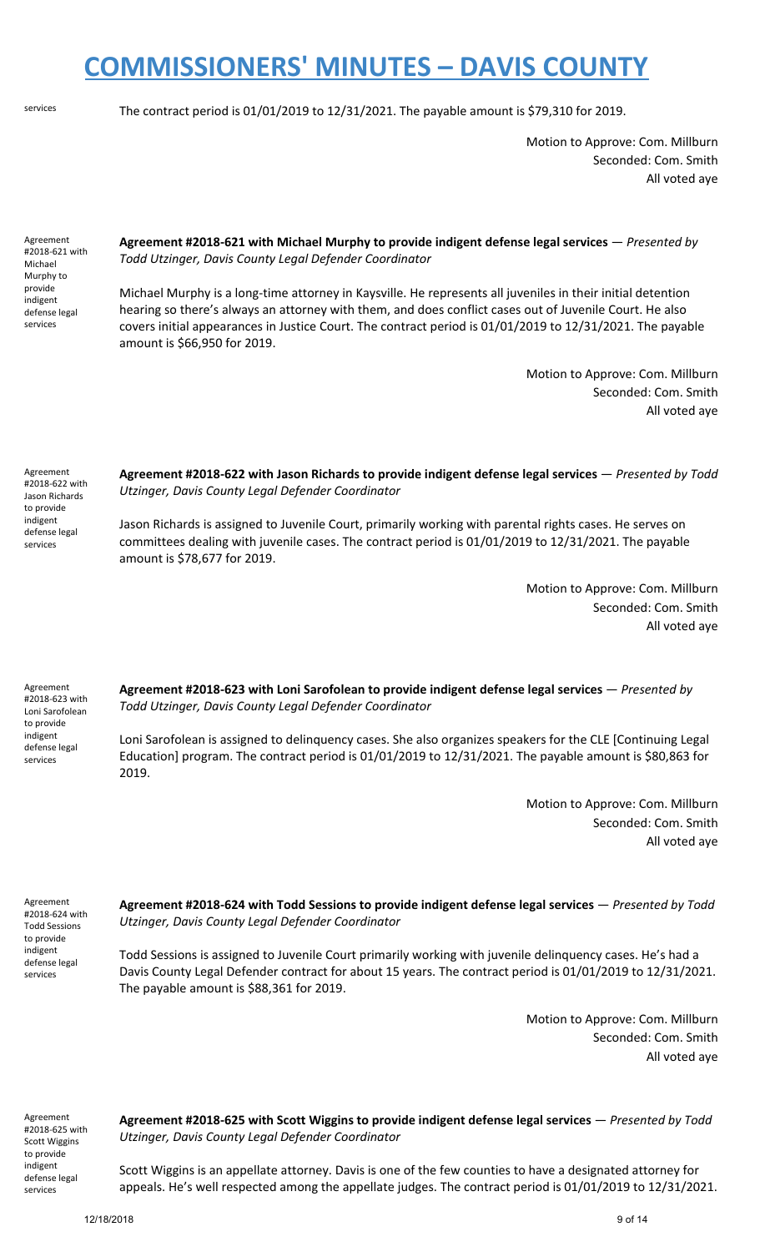services The contract period is 01/01/2019 to 12/31/2021. The payable amount is \$79,310 for 2019.

Motion to Approve: Com. Millburn Seconded: Com. Smith All voted aye

Agreement #2018-621 with Michael Murphy to provide indigent defense legal services

Agreement #2018-622 with Jason Richards to provide indigent defense legal services

**Agreement #2018-621 with Michael Murphy to provide indigent defense legal services** — *Presented by Todd Utzinger, Davis County Legal Defender Coordinator*

Michael Murphy is a long-time attorney in Kaysville. He represents all juveniles in their initial detention hearing so there's always an attorney with them, and does conflict cases out of Juvenile Court. He also covers initial appearances in Justice Court. The contract period is 01/01/2019 to 12/31/2021. The payable amount is \$66,950 for 2019.

> Motion to Approve: Com. Millburn Seconded: Com. Smith All voted aye

**Agreement #2018-622 with Jason Richards to provide indigent defense legal services** — *Presented by Todd Utzinger, Davis County Legal Defender Coordinator*

Jason Richards is assigned to Juvenile Court, primarily working with parental rights cases. He serves on committees dealing with juvenile cases. The contract period is 01/01/2019 to 12/31/2021. The payable amount is \$78,677 for 2019.

> Motion to Approve: Com. Millburn Seconded: Com. Smith All voted aye

Agreement #2018-623 with Loni Sarofolean to provide indigent defense legal services

**Agreement #2018-623 with Loni Sarofolean to provide indigent defense legal services** — *Presented by Todd Utzinger, Davis County Legal Defender Coordinator*

Loni Sarofolean is assigned to delinquency cases. She also organizes speakers for the CLE [Continuing Legal Education] program. The contract period is 01/01/2019 to 12/31/2021. The payable amount is \$80,863 for 2019.

> Motion to Approve: Com. Millburn Seconded: Com. Smith All voted aye

Agreement #2018-624 with Todd Sessions to provide indigent defense legal services

**Agreement #2018-624 with Todd Sessions to provide indigent defense legal services** — *Presented by Todd Utzinger, Davis County Legal Defender Coordinator*

Todd Sessions is assigned to Juvenile Court primarily working with juvenile delinquency cases. He's had a Davis County Legal Defender contract for about 15 years. The contract period is 01/01/2019 to 12/31/2021. The payable amount is \$88,361 for 2019.

> Motion to Approve: Com. Millburn Seconded: Com. Smith All voted aye

Agreement #2018-625 with Scott Wiggins to provide indigent defense legal services

**Agreement #2018-625 with Scott Wiggins to provide indigent defense legal services** — *Presented by Todd Utzinger, Davis County Legal Defender Coordinator*

Scott Wiggins is an appellate attorney. Davis is one of the few counties to have a designated attorney for appeals. He's well respected among the appellate judges. The contract period is 01/01/2019 to 12/31/2021.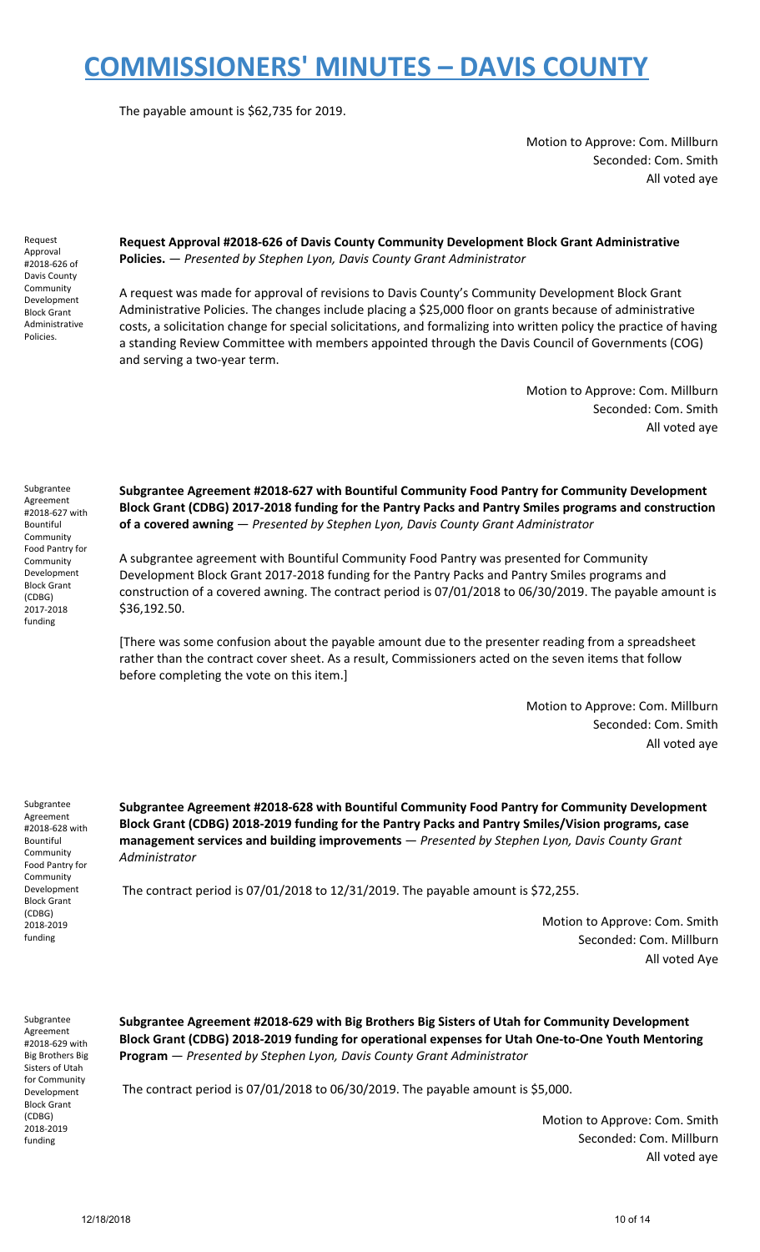The payable amount is \$62,735 for 2019.

Motion to Approve: Com. Millburn Seconded: Com. Smith All voted aye

Request Approval #2018-626 of Davis County Community Development Block Grant Administrative Policies.

**Request Approval #2018-626 of Davis County Community Development Block Grant Administrative Policies.** — *Presented by Stephen Lyon, Davis County Grant Administrator*

A request was made for approval of revisions to Davis County's Community Development Block Grant Administrative Policies. The changes include placing a \$25,000 floor on grants because of administrative costs, a solicitation change for special solicitations, and formalizing into written policy the practice of having a standing Review Committee with members appointed through the Davis Council of Governments (COG) and serving a two-year term.

> Motion to Approve: Com. Millburn Seconded: Com. Smith All voted aye

Subgrantee Agreement #2018-627 with Bountiful **Community** Food Pantry for Community Development Block Grant (CDBG) 2017-2018 funding

**Subgrantee Agreement #2018-627 with Bountiful Community Food Pantry for Community Development Block Grant (CDBG) 2017-2018 funding for the Pantry Packs and Pantry Smiles programs and construction of a covered awning** — *Presented by Stephen Lyon, Davis County Grant Administrator*

A subgrantee agreement with Bountiful Community Food Pantry was presented for Community Development Block Grant 2017-2018 funding for the Pantry Packs and Pantry Smiles programs and construction of a covered awning. The contract period is 07/01/2018 to 06/30/2019. The payable amount is \$36,192.50.

[There was some confusion about the payable amount due to the presenter reading from a spreadsheet rather than the contract cover sheet. As a result, Commissioners acted on the seven items that follow before completing the vote on this item.]

> Motion to Approve: Com. Millburn Seconded: Com. Smith All voted aye

Subgrantee Agreement #2018-628 with Bountiful **Community** Food Pantry for Community Development Block Grant (CDBG) 2018-2019 funding

**Subgrantee Agreement #2018-628 with Bountiful Community Food Pantry for Community Development Block Grant (CDBG) 2018-2019 funding for the Pantry Packs and Pantry Smiles/Vision programs, case management services and building improvements** — *Presented by Stephen Lyon, Davis County Grant Administrator*

The contract period is 07/01/2018 to 12/31/2019. The payable amount is \$72,255.

Motion to Approve: Com. Smith Seconded: Com. Millburn All voted Aye

Subgrantee Agreement #2018-629 with Big Brothers Big Sisters of Utah for Community Development Block Grant (CDBG) 2018-2019 funding

**Subgrantee Agreement #2018-629 with Big Brothers Big Sisters of Utah for Community Development Block Grant (CDBG) 2018-2019 funding for operational expenses for Utah One-to-One Youth Mentoring Program** — *Presented by Stephen Lyon, Davis County Grant Administrator*

The contract period is 07/01/2018 to 06/30/2019. The payable amount is \$5,000.

Motion to Approve: Com. Smith Seconded: Com. Millburn All voted aye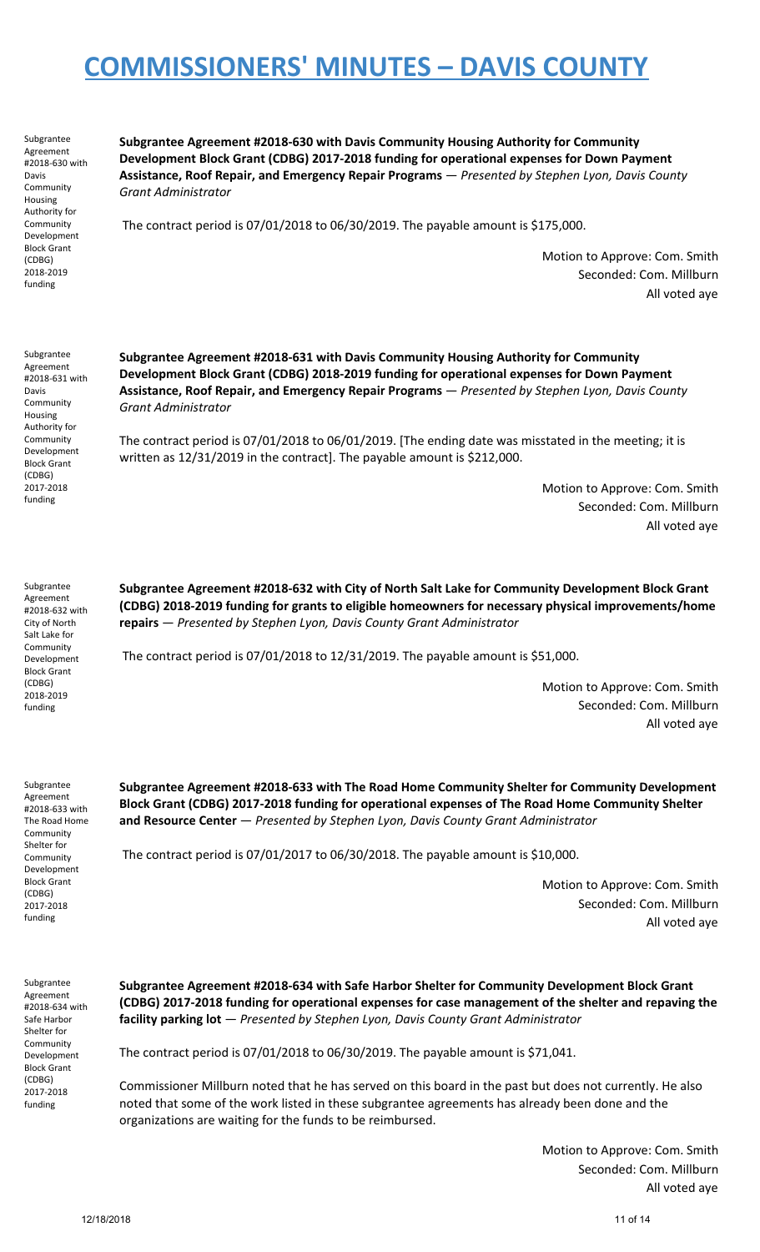Subgrantee Agreement #2018-630 with Davis **Community** Housing Authority for Community Development Block Grant (CDBG) 2018-2019 funding

**Subgrantee Agreement #2018-630 with Davis Community Housing Authority for Community Development Block Grant (CDBG) 2017-2018 funding for operational expenses for Down Payment Assistance, Roof Repair, and Emergency Repair Programs** — *Presented by Stephen Lyon, Davis County Grant Administrator*

The contract period is 07/01/2018 to 06/30/2019. The payable amount is \$175,000.

Motion to Approve: Com. Smith Seconded: Com. Millburn All voted aye

Subgrantee Agreement #2018-631 with Davis **Community** Housing Authority for Community Development Block Grant (CDBG) 2017-2018 funding

**Subgrantee Agreement #2018-631 with Davis Community Housing Authority for Community Development Block Grant (CDBG) 2018-2019 funding for operational expenses for Down Payment Assistance, Roof Repair, and Emergency Repair Programs** — *Presented by Stephen Lyon, Davis County Grant Administrator*

The contract period is 07/01/2018 to 06/01/2019. [The ending date was misstated in the meeting; it is written as 12/31/2019 in the contract]. The payable amount is \$212,000.

> Motion to Approve: Com. Smith Seconded: Com. Millburn All voted aye

Subgrantee Agreement #2018-632 with City of North Salt Lake for Community Development Block Grant (CDBG) 2018-2019 funding

Subgrantee Agreement #2018-633 with The Road Home Community Shelter for Community Development Block Grant (CDBG) 2017-2018 funding

**Subgrantee Agreement #2018-632 with City of North Salt Lake for Community Development Block Grant (CDBG) 2018-2019 funding for grants to eligible homeowners for necessary physical improvements/home repairs** — *Presented by Stephen Lyon, Davis County Grant Administrator*

The contract period is 07/01/2018 to 12/31/2019. The payable amount is \$51,000.

Motion to Approve: Com. Smith Seconded: Com. Millburn All voted aye

**Subgrantee Agreement #2018-633 with The Road Home Community Shelter for Community Development Block Grant (CDBG) 2017-2018 funding for operational expenses of The Road Home Community Shelter and Resource Center** — *Presented by Stephen Lyon, Davis County Grant Administrator*

The contract period is 07/01/2017 to 06/30/2018. The payable amount is \$10,000.

Motion to Approve: Com. Smith Seconded: Com. Millburn All voted aye

Subgrantee Agreement #2018-634 with Safe Harbor Shelter for Community Development Block Grant (CDBG) 2017-2018 funding

**Subgrantee Agreement #2018-634 with Safe Harbor Shelter for Community Development Block Grant (CDBG) 2017-2018 funding for operational expenses for case management of the shelter and repaving the facility parking lot** — *Presented by Stephen Lyon, Davis County Grant Administrator*

The contract period is 07/01/2018 to 06/30/2019. The payable amount is \$71,041.

Commissioner Millburn noted that he has served on this board in the past but does not currently. He also noted that some of the work listed in these subgrantee agreements has already been done and the organizations are waiting for the funds to be reimbursed.

> Motion to Approve: Com. Smith Seconded: Com. Millburn All voted aye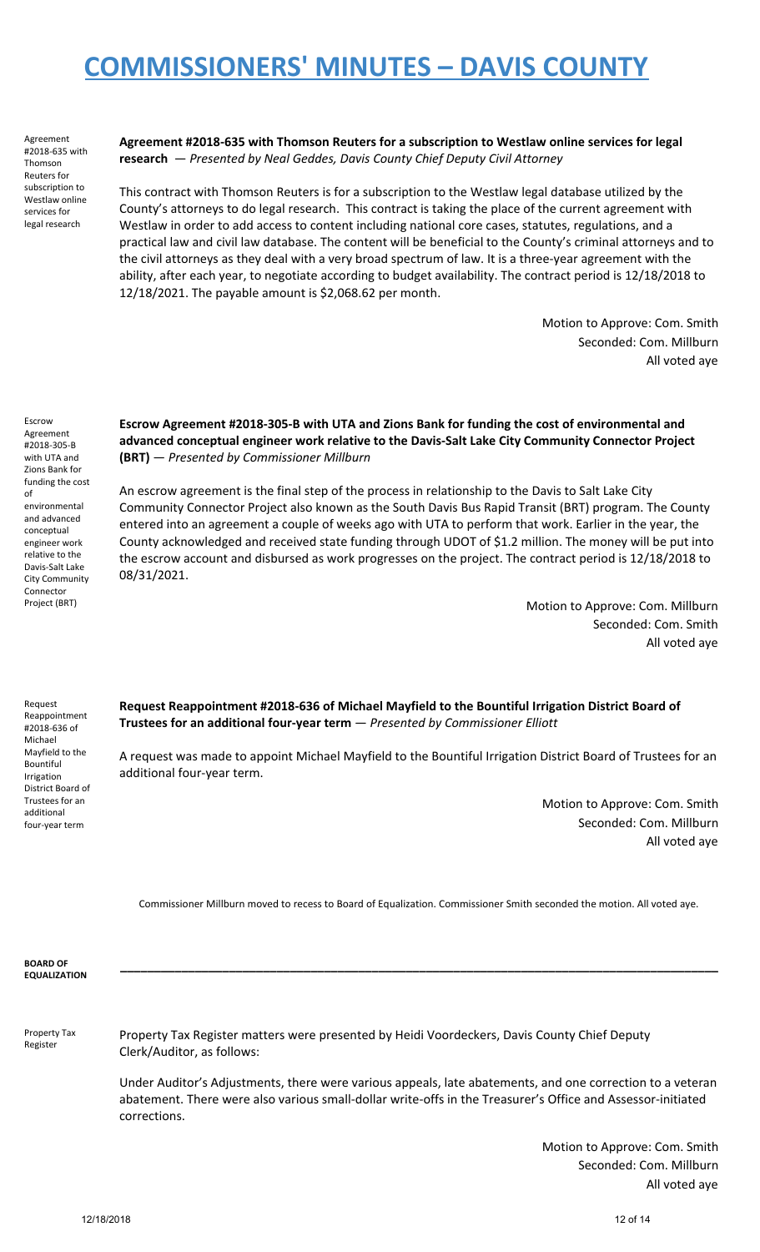Agreement #2018-635 with Thomson Reuters for subscription to Westlaw online services for legal research

**Agreement #2018-635 with Thomson Reuters for a subscription to Westlaw online services for legal research** — *Presented by Neal Geddes, Davis County Chief Deputy Civil Attorney*

This contract with Thomson Reuters is for a subscription to the Westlaw legal database utilized by the County's attorneys to do legal research. This contract is taking the place of the current agreement with Westlaw in order to add access to content including national core cases, statutes, regulations, and a practical law and civil law database. The content will be beneficial to the County's criminal attorneys and to the civil attorneys as they deal with a very broad spectrum of law. It is a three-year agreement with the ability, after each year, to negotiate according to budget availability. The contract period is 12/18/2018 to 12/18/2021. The payable amount is \$2,068.62 per month.

> Motion to Approve: Com. Smith Seconded: Com. Millburn All voted aye

Escrow Agreement #2018-305-B with UTA and Zions Bank for funding the cost

of

environmental and advanced conceptual engineer work relative to the Davis-Salt Lake City Community Connector Project (BRT)

**Escrow Agreement #2018-305-B with UTA and Zions Bank for funding the cost of environmental and advanced conceptual engineer work relative to the Davis-Salt Lake City Community Connector Project (BRT)** — *Presented by Commissioner Millburn*

An escrow agreement is the final step of the process in relationship to the Davis to Salt Lake City Community Connector Project also known as the South Davis Bus Rapid Transit (BRT) program. The County entered into an agreement a couple of weeks ago with UTA to perform that work. Earlier in the year, the County acknowledged and received state funding through UDOT of \$1.2 million. The money will be put into the escrow account and disbursed as work progresses on the project. The contract period is 12/18/2018 to 08/31/2021.

> Motion to Approve: Com. Millburn Seconded: Com. Smith All voted aye

Request Reappointment #2018-636 of Michael Mayfield to the Bountiful Irrigation District Board of Trustees for an additional four-year term

**Request Reappointment #2018-636 of Michael Mayfield to the Bountiful Irrigation District Board of Trustees for an additional four-year term** — *Presented by Commissioner Elliott*

A request was made to appoint Michael Mayfield to the Bountiful Irrigation District Board of Trustees for an additional four-year term.

> Motion to Approve: Com. Smith Seconded: Com. Millburn All voted aye

Commissioner Millburn moved to recess to Board of Equalization. Commissioner Smith seconded the motion. All voted aye.

| <b>BOARD OF</b><br><b>EQUALIZATION</b> |                                                                                                                                                                                                                                          |
|----------------------------------------|------------------------------------------------------------------------------------------------------------------------------------------------------------------------------------------------------------------------------------------|
| Property Tax<br>Register               | Property Tax Register matters were presented by Heidi Voordeckers, Davis County Chief Deputy<br>Clerk/Auditor, as follows:                                                                                                               |
|                                        | Under Auditor's Adjustments, there were various appeals, late abatements, and one correction to a veteran<br>abatement. There were also various small-dollar write-offs in the Treasurer's Office and Assessor-initiated<br>corrections. |
|                                        | Matian to Approval Come Conith                                                                                                                                                                                                           |

Motion to Approve: Com. Smith Seconded: Com. Millburn All voted aye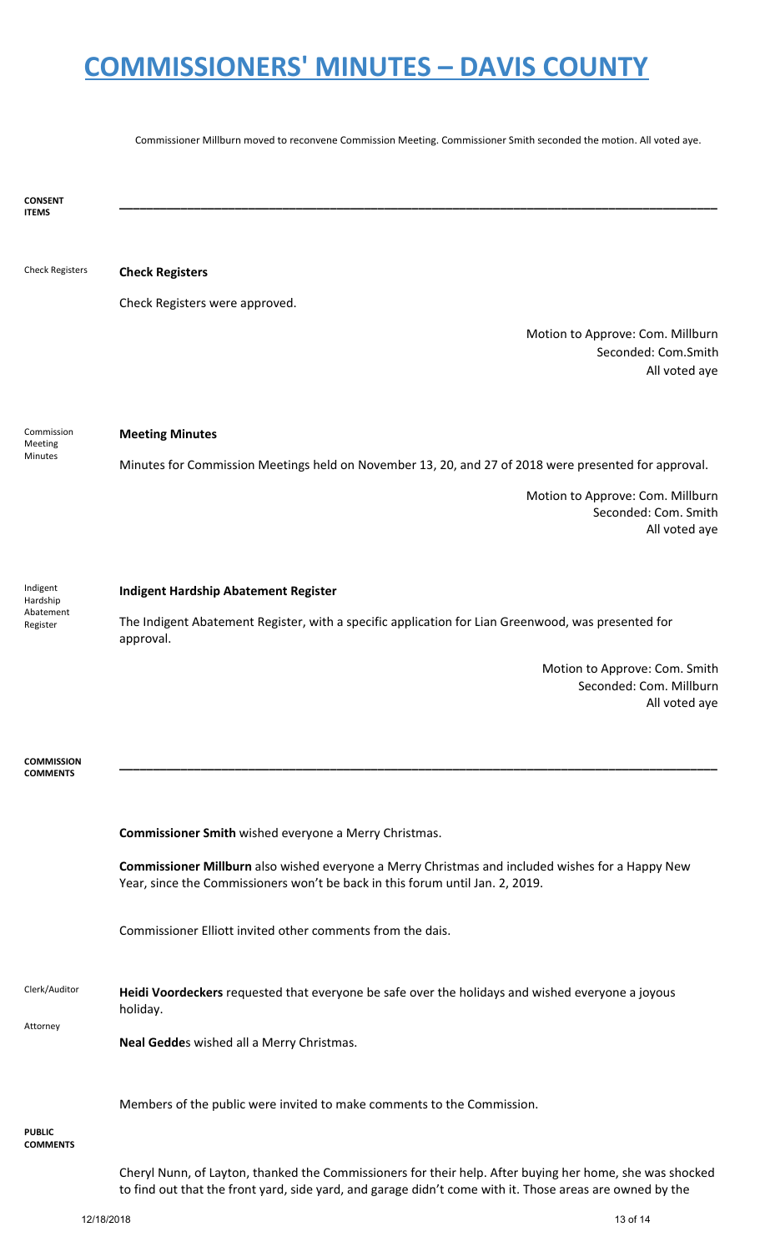Commissioner Millburn moved to reconvene Commission Meeting. Commissioner Smith seconded the motion. All voted aye.

**CONSENT ITEMS \_\_\_\_\_\_\_\_\_\_\_\_\_\_\_\_\_\_\_\_\_\_\_\_\_\_\_\_\_\_\_\_\_\_\_\_\_\_\_\_\_\_\_\_\_\_\_\_\_\_\_\_\_\_\_\_\_\_\_\_\_\_\_\_\_\_\_\_\_\_\_\_\_\_\_\_\_\_\_\_\_\_\_\_\_\_\_\_** Check Registers **Check Registers** Check Registers were approved. Motion to Approve: Com. Millburn Seconded: Com.Smith All voted aye Commission Meeting Minutes **Meeting Minutes** Minutes for Commission Meetings held on November 13, 20, and 27 of 2018 were presented for approval. Motion to Approve: Com. Millburn Seconded: Com. Smith All voted aye Indigent Hardship Abatement Register **Indigent Hardship Abatement Register** The Indigent Abatement Register, with a specific application for Lian Greenwood, was presented for approval. Motion to Approve: Com. Smith Seconded: Com. Millburn All voted aye **COMMISSION COMMENTS \_\_\_\_\_\_\_\_\_\_\_\_\_\_\_\_\_\_\_\_\_\_\_\_\_\_\_\_\_\_\_\_\_\_\_\_\_\_\_\_\_\_\_\_\_\_\_\_\_\_\_\_\_\_\_\_\_\_\_\_\_\_\_\_\_\_\_\_\_\_\_\_\_\_\_\_\_\_\_\_\_\_\_\_\_\_\_\_ Commissioner Smith** wished everyone a Merry Christmas. **Commissioner Millburn** also wished everyone a Merry Christmas and included wishes for a Happy New Year, since the Commissioners won't be back in this forum until Jan. 2, 2019. Commissioner Elliott invited other comments from the dais. Clerk/Auditor Attorney **Heidi Voordeckers** requested that everyone be safe over the holidays and wished everyone a joyous holiday. **Neal Gedde**s wished all a Merry Christmas. Members of the public were invited to make comments to the Commission. **PUBLIC COMMENTS** Cheryl Nunn, of Layton, thanked the Commissioners for their help. After buying her home, she was shocked to find out that the front yard, side yard, and garage didn't come with it. Those areas are owned by the